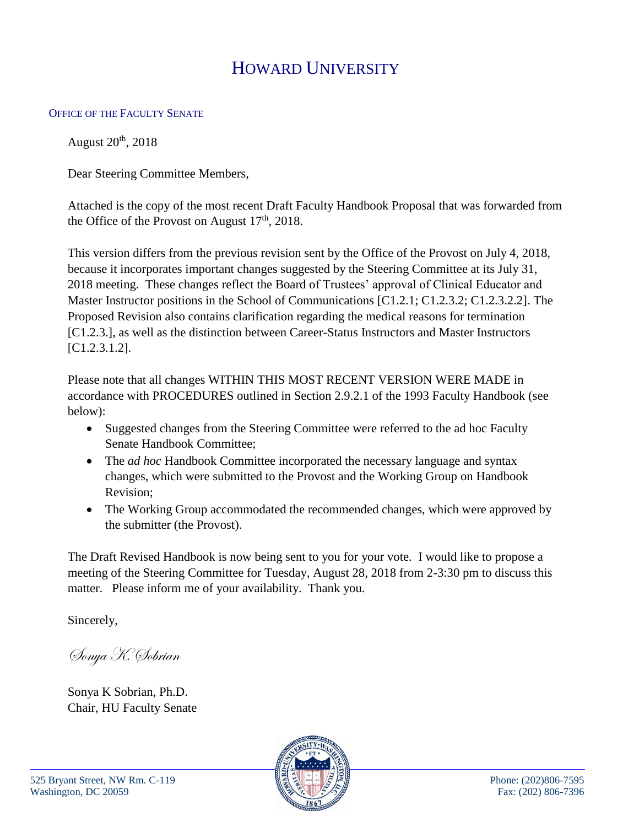## HOWARD UNIVERSITY

## OFFICE OF THE FACULTY SENATE

August  $20<sup>th</sup>$ ,  $2018$ 

Dear Steering Committee Members,

Attached is the copy of the most recent Draft Faculty Handbook Proposal that was forwarded from the Office of the Provost on August  $17<sup>th</sup>$ , 2018.

This version differs from the previous revision sent by the Office of the Provost on July 4, 2018, because it incorporates important changes suggested by the Steering Committee at its July 31, 2018 meeting. These changes reflect the Board of Trustees' approval of Clinical Educator and Master Instructor positions in the School of Communications [C1.2.1; C1.2.3.2; C1.2.3.2.2]. The Proposed Revision also contains clarification regarding the medical reasons for termination [C1.2.3.], as well as the distinction between Career-Status Instructors and Master Instructors [C1.2.3.1.2].

Please note that all changes WITHIN THIS MOST RECENT VERSION WERE MADE in accordance with PROCEDURES outlined in Section 2.9.2.1 of the 1993 Faculty Handbook (see below):

- Suggested changes from the Steering Committee were referred to the ad hoc Faculty Senate Handbook Committee;
- The *ad hoc* Handbook Committee incorporated the necessary language and syntax changes, which were submitted to the Provost and the Working Group on Handbook Revision;
- The Working Group accommodated the recommended changes, which were approved by the submitter (the Provost).

The Draft Revised Handbook is now being sent to you for your vote. I would like to propose a meeting of the Steering Committee for Tuesday, August 28, 2018 from 2-3:30 pm to discuss this matter. Please inform me of your availability. Thank you.

Sincerely,

Sonya K. Sobrian

Sonya K Sobrian, Ph.D. Chair, HU Faculty Senate